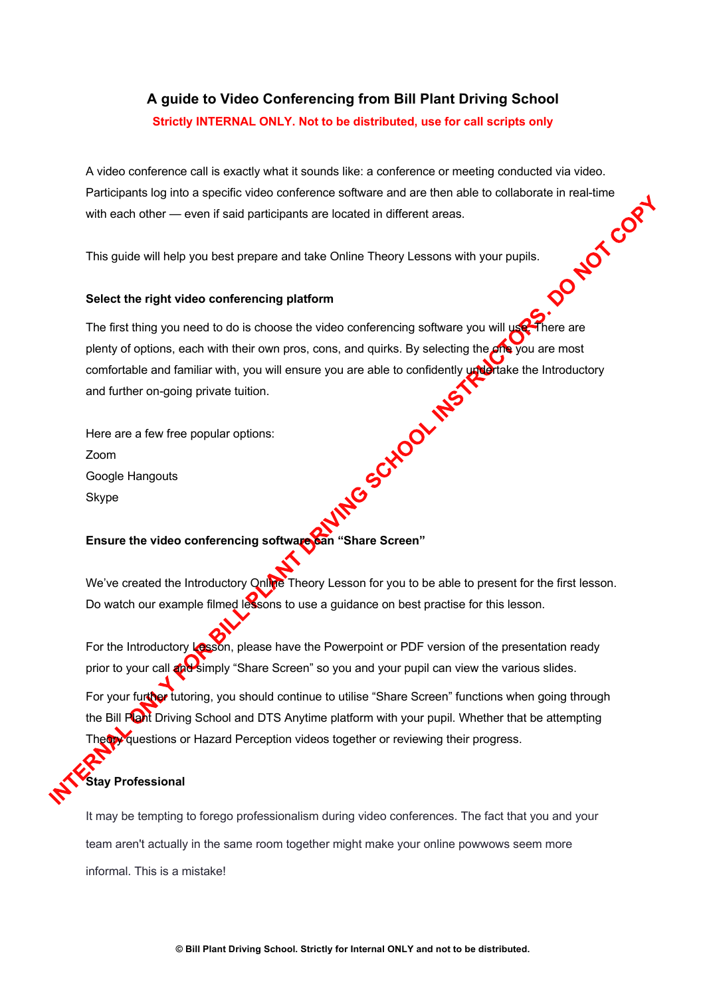## **A guide to Video Conferencing from Bill Plant Driving School Strictly INTERNAL ONLY. Not to be distributed, use for call scripts only**

A video conference call is exactly what it sounds like: a conference or meeting conducted via video. Participants log into a specific video conference software and are then able to collaborate in real-time<br>with each other — even if said participants are located in different areas.<br>This guide will help you best prepare and with each other — even if said participants are located in different areas.

This guide will help you best prepare and take Online Theory Lessons with your pupils.

## **Select the right video conferencing platform**

The first thing you need to do is choose the video conferencing software you will use. There are plenty of options, each with their own pros, cons, and quirks. By selecting the one you are most comfortable and familiar with, you will ensure you are able to confidently undertake the Introductory<br>and further on-going private tuition.<br>Here are a few free popular options:<br>Zoom<br>Google Hangouts<br>Skype and further on-going private tuition.

Here are a few free popular options: Zoom Google Hangouts Skype

## Ensure the video conferencing software can "Share Screen"

We've created the Introductory Online Theory Lesson for you to be able to present for the first lesson. Do watch our example filmed lessons to use a guidance on best practise for this lesson.

For the Introductory Lesson, please have the Powerpoint or PDF version of the presentation ready prior to your call and simply "Share Screen" so you and your pupil can view the various slides. For your further tutoring, you should continue to utilise "Share Screen" functions when going through the Bill Plant Driving School and DTS Anytime platform with your pupil. Whether that be attempting Theory questions or Hazard Perception videos together or reviewing their progress.

## **Stay Professional**

It may be tempting to forego professionalism during video conferences. The fact that you and your team aren't actually in the same room together might make your online powwows seem more informal. This is a mistake!